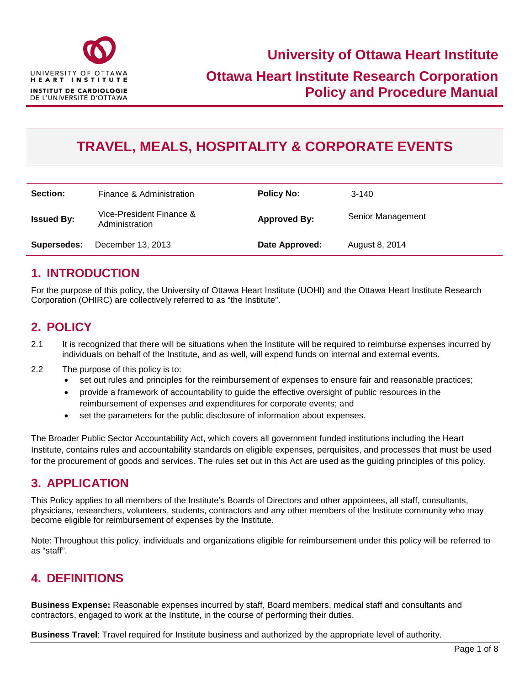

# **TRAVEL, MEALS, HOSPITALITY & CORPORATE EVENTS**

| Section:          | Finance & Administration                   | <b>Policy No:</b>   | $3-140$           |
|-------------------|--------------------------------------------|---------------------|-------------------|
| <b>Issued By:</b> | Vice-President Finance &<br>Administration | <b>Approved By:</b> | Senior Management |
| Supersedes:       | December 13, 2013                          | Date Approved:      | August 8, 2014    |

### **1. INTRODUCTION**

For the purpose of this policy, the University of Ottawa Heart Institute (UOHI) and the Ottawa Heart Institute Research Corporation (OHIRC) are collectively referred to as "the Institute".

## **2. POLICY**

- 2.1 It is recognized that there will be situations when the Institute will be required to reimburse expenses incurred by individuals on behalf of the Institute, and as well, will expend funds on internal and external events.
- 2.2 The purpose of this policy is to:
	- set out rules and principles for the reimbursement of expenses to ensure fair and reasonable practices;
	- provide a framework of accountability to guide the effective oversight of public resources in the reimbursement of expenses and expenditures for corporate events; and
	- set the parameters for the public disclosure of information about expenses.

The Broader Public Sector Accountability Act, which covers all government funded institutions including the Heart Institute, contains rules and accountability standards on eligible expenses, perquisites, and processes that must be used for the procurement of goods and services. The rules set out in this Act are used as the guiding principles of this policy.

### **3. APPLICATION**

This Policy applies to all members of the Institute's Boards of Directors and other appointees, all staff, consultants, physicians, researchers, volunteers, students, contractors and any other members of the Institute community who may become eligible for reimbursement of expenses by the Institute.

Note: Throughout this policy, individuals and organizations eligible for reimbursement under this policy will be referred to as "staff".

### **4. DEFINITIONS**

**Business Expense:** Reasonable expenses incurred by staff, Board members, medical staff and consultants and contractors, engaged to work at the Institute, in the course of performing their duties.

**Business Travel**: Travel required for Institute business and authorized by the appropriate level of authority.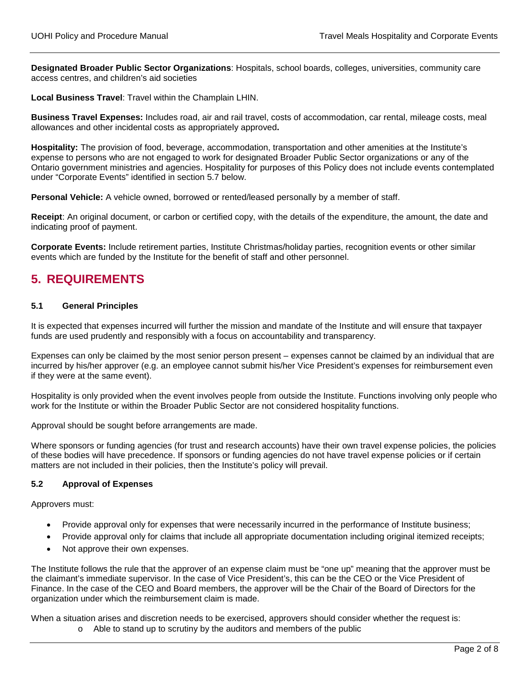**Designated Broader Public Sector Organizations**: Hospitals, school boards, colleges, universities, community care access centres, and children's aid societies

**Local Business Travel**: Travel within the Champlain LHIN.

**Business Travel Expenses:** Includes road, air and rail travel, costs of accommodation, car rental, mileage costs, meal allowances and other incidental costs as appropriately approved**.**

**Hospitality:** The provision of food, beverage, accommodation, transportation and other amenities at the Institute's expense to persons who are not engaged to work for designated Broader Public Sector organizations or any of the Ontario government ministries and agencies. Hospitality for purposes of this Policy does not include events contemplated under "Corporate Events" identified in section 5.7 below.

**Personal Vehicle:** A vehicle owned, borrowed or rented/leased personally by a member of staff.

**Receipt**: An original document, or carbon or certified copy, with the details of the expenditure, the amount, the date and indicating proof of payment.

**Corporate Events:** Include retirement parties, Institute Christmas/holiday parties, recognition events or other similar events which are funded by the Institute for the benefit of staff and other personnel.

### **5. REQUIREMENTS**

#### **5.1 General Principles**

It is expected that expenses incurred will further the mission and mandate of the Institute and will ensure that taxpayer funds are used prudently and responsibly with a focus on accountability and transparency.

Expenses can only be claimed by the most senior person present – expenses cannot be claimed by an individual that are incurred by his/her approver (e.g. an employee cannot submit his/her Vice President's expenses for reimbursement even if they were at the same event).

Hospitality is only provided when the event involves people from outside the Institute. Functions involving only people who work for the Institute or within the Broader Public Sector are not considered hospitality functions.

Approval should be sought before arrangements are made.

Where sponsors or funding agencies (for trust and research accounts) have their own travel expense policies, the policies of these bodies will have precedence. If sponsors or funding agencies do not have travel expense policies or if certain matters are not included in their policies, then the Institute's policy will prevail.

#### **5.2 Approval of Expenses**

Approvers must:

- Provide approval only for expenses that were necessarily incurred in the performance of Institute business;
- Provide approval only for claims that include all appropriate documentation including original itemized receipts;
- Not approve their own expenses.

The Institute follows the rule that the approver of an expense claim must be "one up" meaning that the approver must be the claimant's immediate supervisor. In the case of Vice President's, this can be the CEO or the Vice President of Finance. In the case of the CEO and Board members, the approver will be the Chair of the Board of Directors for the organization under which the reimbursement claim is made.

When a situation arises and discretion needs to be exercised, approvers should consider whether the request is: o Able to stand up to scrutiny by the auditors and members of the public

Page 2 of 8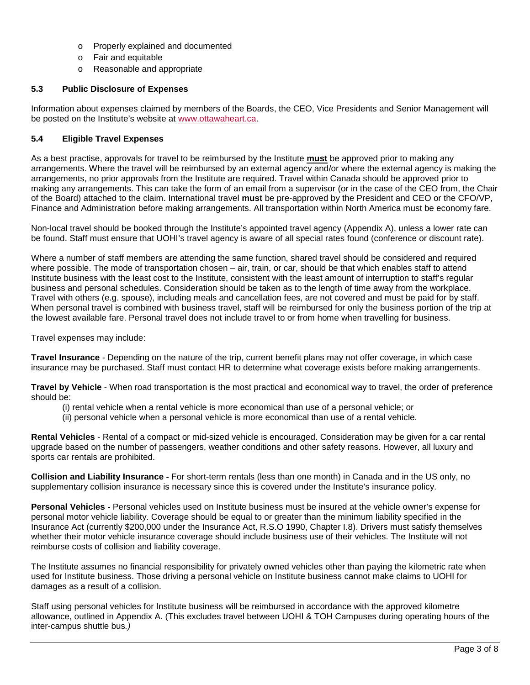- o Properly explained and documented
- o Fair and equitable
- o Reasonable and appropriate

#### **5.3 Public Disclosure of Expenses**

Information about expenses claimed by members of the Boards, the CEO, Vice Presidents and Senior Management will be posted on the Institute's website at [www.ottawaheart.ca.](http://www.ottawaheart.ca/)

#### **5.4 Eligible Travel Expenses**

As a best practise, approvals for travel to be reimbursed by the Institute **must** be approved prior to making any arrangements. Where the travel will be reimbursed by an external agency and/or where the external agency is making the arrangements, no prior approvals from the Institute are required. Travel within Canada should be approved prior to making any arrangements. This can take the form of an email from a supervisor (or in the case of the CEO from, the Chair of the Board) attached to the claim. International travel **must** be pre-approved by the President and CEO or the CFO/VP, Finance and Administration before making arrangements. All transportation within North America must be economy fare.

Non-local travel should be booked through the Institute's appointed travel agency (Appendix A), unless a lower rate can be found. Staff must ensure that UOHI's travel agency is aware of all special rates found (conference or discount rate).

Where a number of staff members are attending the same function, shared travel should be considered and required where possible. The mode of transportation chosen – air, train, or car, should be that which enables staff to attend Institute business with the least cost to the Institute, consistent with the least amount of interruption to staff's regular business and personal schedules. Consideration should be taken as to the length of time away from the workplace. Travel with others (e.g. spouse), including meals and cancellation fees, are not covered and must be paid for by staff. When personal travel is combined with business travel, staff will be reimbursed for only the business portion of the trip at the lowest available fare. Personal travel does not include travel to or from home when travelling for business.

Travel expenses may include:

**Travel Insurance** - Depending on the nature of the trip, current benefit plans may not offer coverage, in which case insurance may be purchased. Staff must contact HR to determine what coverage exists before making arrangements.

**Travel by Vehicle** - When road transportation is the most practical and economical way to travel, the order of preference should be:

- (i) rental vehicle when a rental vehicle is more economical than use of a personal vehicle; or
- (ii) personal vehicle when a personal vehicle is more economical than use of a rental vehicle.

**Rental Vehicles** - Rental of a compact or mid-sized vehicle is encouraged. Consideration may be given for a car rental upgrade based on the number of passengers, weather conditions and other safety reasons. However, all luxury and sports car rentals are prohibited.

**Collision and Liability Insurance -** For short-term rentals (less than one month) in Canada and in the US only, no supplementary collision insurance is necessary since this is covered under the Institute's insurance policy.

**Personal Vehicles -** Personal vehicles used on Institute business must be insured at the vehicle owner's expense for personal motor vehicle liability. Coverage should be equal to or greater than the minimum liability specified in the Insurance Act (currently \$200,000 under the Insurance Act, R.S.O 1990, Chapter I.8). Drivers must satisfy themselves whether their motor vehicle insurance coverage should include business use of their vehicles. The Institute will not reimburse costs of collision and liability coverage.

The Institute assumes no financial responsibility for privately owned vehicles other than paying the kilometric rate when used for Institute business. Those driving a personal vehicle on Institute business cannot make claims to UOHI for damages as a result of a collision.

Staff using personal vehicles for Institute business will be reimbursed in accordance with the approved kilometre allowance, outlined in Appendix A. (This excludes travel between UOHI & TOH Campuses during operating hours of the inter-campus shuttle bus*.)*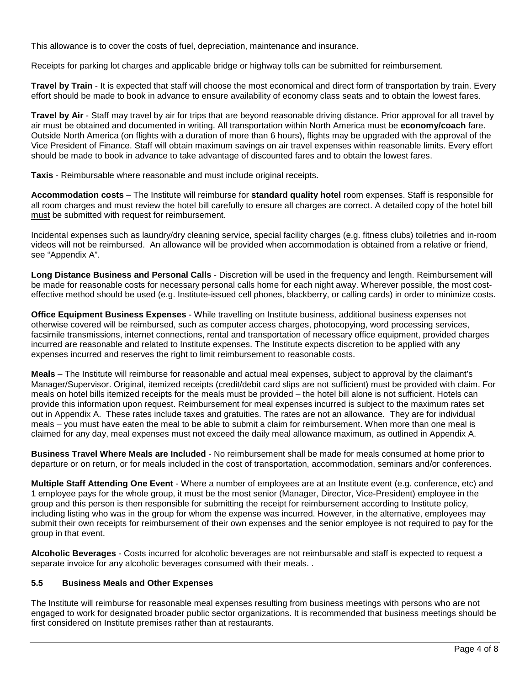This allowance is to cover the costs of fuel, depreciation, maintenance and insurance.

Receipts for parking lot charges and applicable bridge or highway tolls can be submitted for reimbursement.

**Travel by Train** - It is expected that staff will choose the most economical and direct form of transportation by train. Every effort should be made to book in advance to ensure availability of economy class seats and to obtain the lowest fares.

**Travel by Air** - Staff may travel by air for trips that are beyond reasonable driving distance. Prior approval for all travel by air must be obtained and documented in writing. All transportation within North America must be **economy/coach** fare. Outside North America (on flights with a duration of more than 6 hours), flights may be upgraded with the approval of the Vice President of Finance. Staff will obtain maximum savings on air travel expenses within reasonable limits. Every effort should be made to book in advance to take advantage of discounted fares and to obtain the lowest fares.

**Taxis** - Reimbursable where reasonable and must include original receipts.

**Accommodation costs** – The Institute will reimburse for **standard quality hotel** room expenses. Staff is responsible for all room charges and must review the hotel bill carefully to ensure all charges are correct. A detailed copy of the hotel bill must be submitted with request for reimbursement.

Incidental expenses such as laundry/dry cleaning service, special facility charges (e.g. fitness clubs) toiletries and in-room videos will not be reimbursed. An allowance will be provided when accommodation is obtained from a relative or friend, see "Appendix A".

**Long Distance Business and Personal Calls** - Discretion will be used in the frequency and length. Reimbursement will be made for reasonable costs for necessary personal calls home for each night away. Wherever possible, the most costeffective method should be used (e.g. Institute-issued cell phones, blackberry, or calling cards) in order to minimize costs.

**Office Equipment Business Expenses** - While travelling on Institute business, additional business expenses not otherwise covered will be reimbursed, such as computer access charges, photocopying, word processing services, facsimile transmissions, internet connections, rental and transportation of necessary office equipment, provided charges incurred are reasonable and related to Institute expenses. The Institute expects discretion to be applied with any expenses incurred and reserves the right to limit reimbursement to reasonable costs.

**Meals** – The Institute will reimburse for reasonable and actual meal expenses, subject to approval by the claimant's Manager/Supervisor. Original, itemized receipts (credit/debit card slips are not sufficient) must be provided with claim. For meals on hotel bills itemized receipts for the meals must be provided – the hotel bill alone is not sufficient. Hotels can provide this information upon request. Reimbursement for meal expenses incurred is subject to the maximum rates set out in Appendix A. These rates include taxes and gratuities. The rates are not an allowance. They are for individual meals – you must have eaten the meal to be able to submit a claim for reimbursement. When more than one meal is claimed for any day, meal expenses must not exceed the daily meal allowance maximum, as outlined in Appendix A.

**Business Travel Where Meals are Included** - No reimbursement shall be made for meals consumed at home prior to departure or on return, or for meals included in the cost of transportation, accommodation, seminars and/or conferences.

**Multiple Staff Attending One Event** - Where a number of employees are at an Institute event (e.g. conference, etc) and 1 employee pays for the whole group, it must be the most senior (Manager, Director, Vice-President) employee in the group and this person is then responsible for submitting the receipt for reimbursement according to Institute policy, including listing who was in the group for whom the expense was incurred. However, in the alternative, employees may submit their own receipts for reimbursement of their own expenses and the senior employee is not required to pay for the group in that event.

**Alcoholic Beverages** - Costs incurred for alcoholic beverages are not reimbursable and staff is expected to request a separate invoice for any alcoholic beverages consumed with their meals. .

#### **5.5 Business Meals and Other Expenses**

The Institute will reimburse for reasonable meal expenses resulting from business meetings with persons who are not engaged to work for designated broader public sector organizations. It is recommended that business meetings should be first considered on Institute premises rather than at restaurants.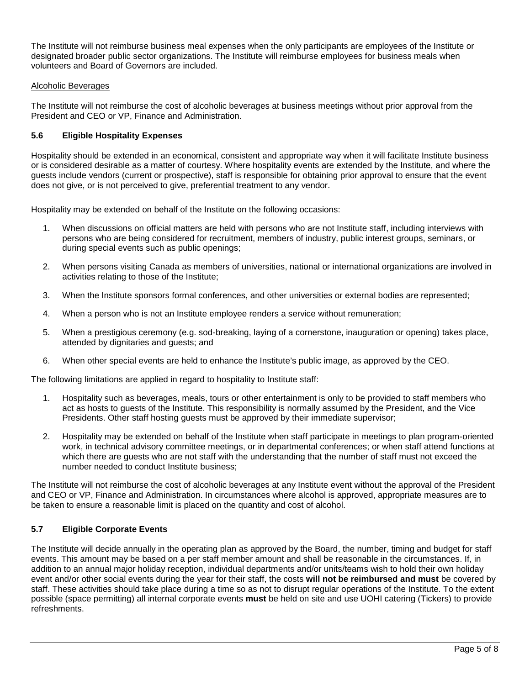The Institute will not reimburse business meal expenses when the only participants are employees of the Institute or designated broader public sector organizations. The Institute will reimburse employees for business meals when volunteers and Board of Governors are included.

#### Alcoholic Beverages

The Institute will not reimburse the cost of alcoholic beverages at business meetings without prior approval from the President and CEO or VP, Finance and Administration.

#### **5.6 Eligible Hospitality Expenses**

Hospitality should be extended in an economical, consistent and appropriate way when it will facilitate Institute business or is considered desirable as a matter of courtesy. Where hospitality events are extended by the Institute, and where the guests include vendors (current or prospective), staff is responsible for obtaining prior approval to ensure that the event does not give, or is not perceived to give, preferential treatment to any vendor.

Hospitality may be extended on behalf of the Institute on the following occasions:

- 1. When discussions on official matters are held with persons who are not Institute staff, including interviews with persons who are being considered for recruitment, members of industry, public interest groups, seminars, or during special events such as public openings;
- 2. When persons visiting Canada as members of universities, national or international organizations are involved in activities relating to those of the Institute;
- 3. When the Institute sponsors formal conferences, and other universities or external bodies are represented;
- 4. When a person who is not an Institute employee renders a service without remuneration;
- 5. When a prestigious ceremony (e.g. sod-breaking, laying of a cornerstone, inauguration or opening) takes place, attended by dignitaries and guests; and
- 6. When other special events are held to enhance the Institute's public image, as approved by the CEO.

The following limitations are applied in regard to hospitality to Institute staff:

- 1. Hospitality such as beverages, meals, tours or other entertainment is only to be provided to staff members who act as hosts to guests of the Institute. This responsibility is normally assumed by the President, and the Vice Presidents. Other staff hosting guests must be approved by their immediate supervisor;
- 2. Hospitality may be extended on behalf of the Institute when staff participate in meetings to plan program-oriented work, in technical advisory committee meetings, or in departmental conferences; or when staff attend functions at which there are guests who are not staff with the understanding that the number of staff must not exceed the number needed to conduct Institute business;

The Institute will not reimburse the cost of alcoholic beverages at any Institute event without the approval of the President and CEO or VP, Finance and Administration. In circumstances where alcohol is approved, appropriate measures are to be taken to ensure a reasonable limit is placed on the quantity and cost of alcohol.

#### **5.7 Eligible Corporate Events**

The Institute will decide annually in the operating plan as approved by the Board, the number, timing and budget for staff events. This amount may be based on a per staff member amount and shall be reasonable in the circumstances. If, in addition to an annual major holiday reception, individual departments and/or units/teams wish to hold their own holiday event and/or other social events during the year for their staff, the costs **will not be reimbursed and must** be covered by staff. These activities should take place during a time so as not to disrupt regular operations of the Institute. To the extent possible (space permitting) all internal corporate events **must** be held on site and use UOHI catering (Tickers) to provide refreshments.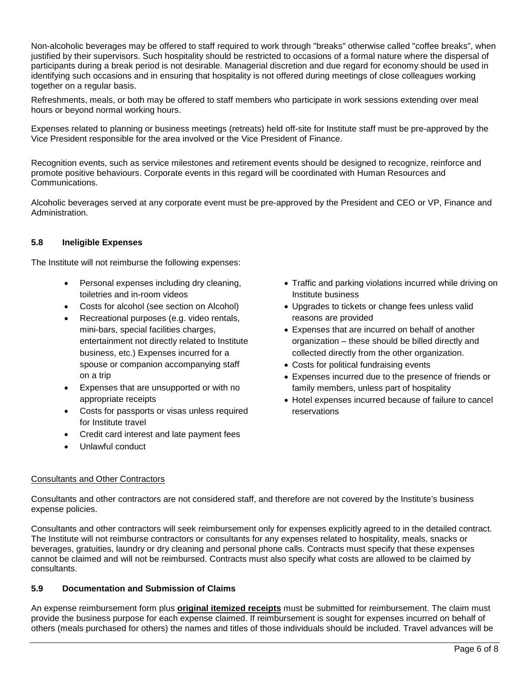Non-alcoholic beverages may be offered to staff required to work through "breaks" otherwise called "coffee breaks", when justified by their supervisors. Such hospitality should be restricted to occasions of a formal nature where the dispersal of participants during a break period is not desirable. Managerial discretion and due regard for economy should be used in identifying such occasions and in ensuring that hospitality is not offered during meetings of close colleagues working together on a regular basis.

Refreshments, meals, or both may be offered to staff members who participate in work sessions extending over meal hours or beyond normal working hours.

Expenses related to planning or business meetings (retreats) held off-site for Institute staff must be pre-approved by the Vice President responsible for the area involved or the Vice President of Finance.

Recognition events, such as service milestones and retirement events should be designed to recognize, reinforce and promote positive behaviours. Corporate events in this regard will be coordinated with Human Resources and Communications.

Alcoholic beverages served at any corporate event must be pre-approved by the President and CEO or VP, Finance and Administration.

#### **5.8 Ineligible Expenses**

The Institute will not reimburse the following expenses:

- Personal expenses including dry cleaning, toiletries and in-room videos
- Costs for alcohol (see section on Alcohol)
- Recreational purposes (e.g. video rentals, mini-bars, special facilities charges, entertainment not directly related to Institute business, etc.) Expenses incurred for a spouse or companion accompanying staff on a trip
- Expenses that are unsupported or with no appropriate receipts
- Costs for passports or visas unless required for Institute travel
- Credit card interest and late payment fees
- Unlawful conduct
- Traffic and parking violations incurred while driving on Institute business
- Upgrades to tickets or change fees unless valid reasons are provided
- Expenses that are incurred on behalf of another organization – these should be billed directly and collected directly from the other organization.
- Costs for political fundraising events
- Expenses incurred due to the presence of friends or family members, unless part of hospitality
- Hotel expenses incurred because of failure to cancel reservations

#### Consultants and Other Contractors

Consultants and other contractors are not considered staff, and therefore are not covered by the Institute's business expense policies.

Consultants and other contractors will seek reimbursement only for expenses explicitly agreed to in the detailed contract. The Institute will not reimburse contractors or consultants for any expenses related to hospitality, meals, snacks or beverages, gratuities, laundry or dry cleaning and personal phone calls. Contracts must specify that these expenses cannot be claimed and will not be reimbursed. Contracts must also specify what costs are allowed to be claimed by consultants.

#### **5.9 Documentation and Submission of Claims**

An expense reimbursement form plus **original itemized receipts** must be submitted for reimbursement. The claim must provide the business purpose for each expense claimed. If reimbursement is sought for expenses incurred on behalf of others (meals purchased for others) the names and titles of those individuals should be included. Travel advances will be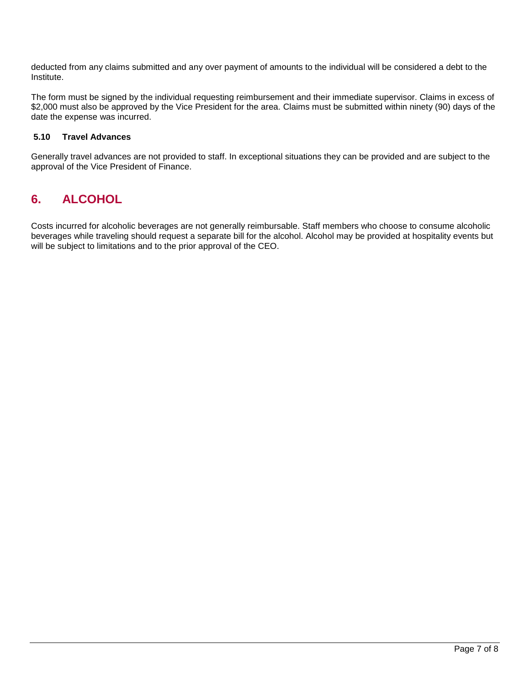deducted from any claims submitted and any over payment of amounts to the individual will be considered a debt to the Institute.

The form must be signed by the individual requesting reimbursement and their immediate supervisor. Claims in excess of \$2,000 must also be approved by the Vice President for the area. Claims must be submitted within ninety (90) days of the date the expense was incurred.

#### **5.10 Travel Advances**

Generally travel advances are not provided to staff. In exceptional situations they can be provided and are subject to the approval of the Vice President of Finance.

## **6. ALCOHOL**

Costs incurred for alcoholic beverages are not generally reimbursable. Staff members who choose to consume alcoholic beverages while traveling should request a separate bill for the alcohol. Alcohol may be provided at hospitality events but will be subject to limitations and to the prior approval of the CEO.